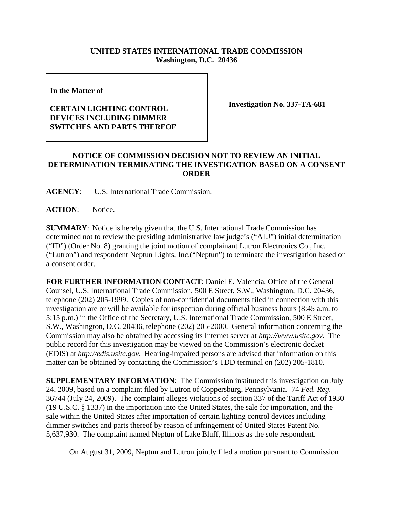## **UNITED STATES INTERNATIONAL TRADE COMMISSION Washington, D.C. 20436**

**In the Matter of** 

## **CERTAIN LIGHTING CONTROL DEVICES INCLUDING DIMMER SWITCHES AND PARTS THEREOF**

**Investigation No. 337-TA-681**

## **NOTICE OF COMMISSION DECISION NOT TO REVIEW AN INITIAL DETERMINATION TERMINATING THE INVESTIGATION BASED ON A CONSENT ORDER**

**AGENCY**: U.S. International Trade Commission.

**ACTION**: Notice.

**SUMMARY**: Notice is hereby given that the U.S. International Trade Commission has determined not to review the presiding administrative law judge's ("ALJ") initial determination ("ID") (Order No. 8) granting the joint motion of complainant Lutron Electronics Co., Inc. ("Lutron") and respondent Neptun Lights, Inc.("Neptun") to terminate the investigation based on a consent order.

**FOR FURTHER INFORMATION CONTACT**: Daniel E. Valencia, Office of the General Counsel, U.S. International Trade Commission, 500 E Street, S.W., Washington, D.C. 20436, telephone (202) 205-1999. Copies of non-confidential documents filed in connection with this investigation are or will be available for inspection during official business hours (8:45 a.m. to 5:15 p.m.) in the Office of the Secretary, U.S. International Trade Commission, 500 E Street, S.W., Washington, D.C. 20436, telephone (202) 205-2000. General information concerning the Commission may also be obtained by accessing its Internet server at *http://www.usitc.gov*. The public record for this investigation may be viewed on the Commission's electronic docket (EDIS) at *http://edis.usitc.gov*. Hearing-impaired persons are advised that information on this matter can be obtained by contacting the Commission's TDD terminal on (202) 205-1810.

**SUPPLEMENTARY INFORMATION**: The Commission instituted this investigation on July 24, 2009, based on a complaint filed by Lutron of Coppersburg, Pennsylvania. 74 *Fed. Reg.* 36744 (July 24, 2009). The complaint alleges violations of section 337 of the Tariff Act of 1930 (19 U.S.C. § 1337) in the importation into the United States, the sale for importation, and the sale within the United States after importation of certain lighting control devices including dimmer switches and parts thereof by reason of infringement of United States Patent No. 5,637,930. The complaint named Neptun of Lake Bluff, Illinois as the sole respondent.

On August 31, 2009, Neptun and Lutron jointly filed a motion pursuant to Commission